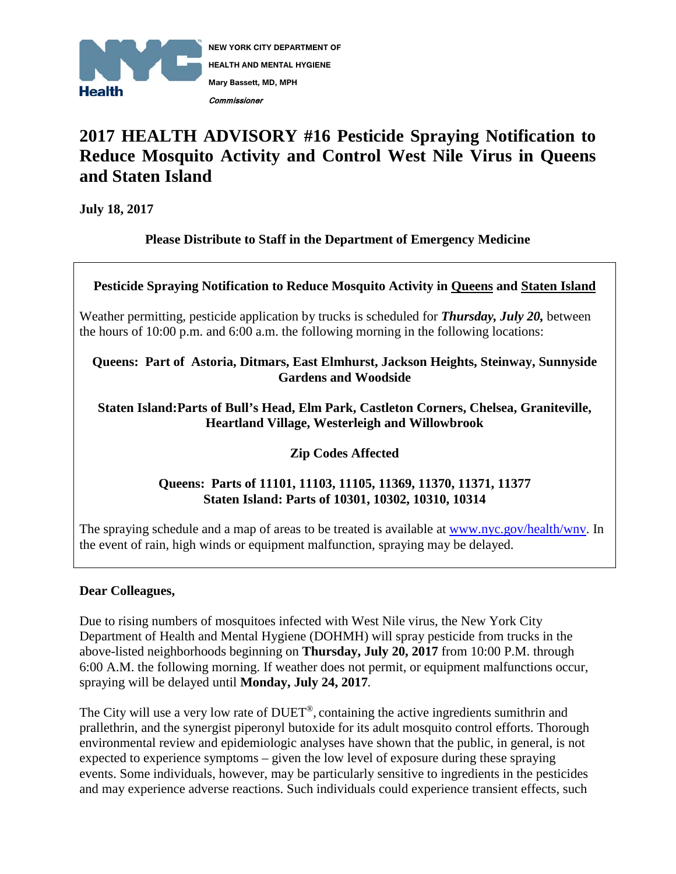

# **2017 HEALTH ADVISORY #16 Pesticide Spraying Notification to Reduce Mosquito Activity and Control West Nile Virus in Queens and Staten Island**

**July 18, 2017**

**Please Distribute to Staff in the Department of Emergency Medicine**

**Pesticide Spraying Notification to Reduce Mosquito Activity in Queens and Staten Island**

Weather permitting, pesticide application by trucks is scheduled for *Thursday, July 20,* between the hours of 10:00 p.m. and 6:00 a.m. the following morning in the following locations:

#### **Queens: Part of Astoria, Ditmars, East Elmhurst, Jackson Heights, Steinway, Sunnyside Gardens and Woodside**

### **Staten Island:Parts of Bull's Head, Elm Park, Castleton Corners, Chelsea, Graniteville, Heartland Village, Westerleigh and Willowbrook**

## **Zip Codes Affected**

## **Queens: Parts of 11101, 11103, 11105, 11369, 11370, 11371, 11377 Staten Island: Parts of 10301, 10302, 10310, 10314**

The spraying schedule and a map of areas to be treated is available at www.nyc.gov/health/wnv. In the event of rain, high winds or equipment malfunction, spraying may be delayed.

## **Dear Colleagues,**

Due to rising numbers of mosquitoes infected with West Nile virus, the New York City Department of Health and Mental Hygiene (DOHMH) will spray pesticide from trucks in the above-listed neighborhoods beginning on **Thursday, July 20, 2017** from 10:00 P.M. through 6:00 A.M. the following morning. If weather does not permit, or equipment malfunctions occur, spraying will be delayed until **Monday, July 24, 2017***.*

The City will use a very low rate of DUET®, containing the active ingredients sumithrin and prallethrin, and the synergist piperonyl butoxide for its adult mosquito control efforts. Thorough environmental review and epidemiologic analyses have shown that the public, in general, is not expected to experience symptoms – given the low level of exposure during these spraying events. Some individuals, however, may be particularly sensitive to ingredients in the pesticides and may experience adverse reactions. Such individuals could experience transient effects, such